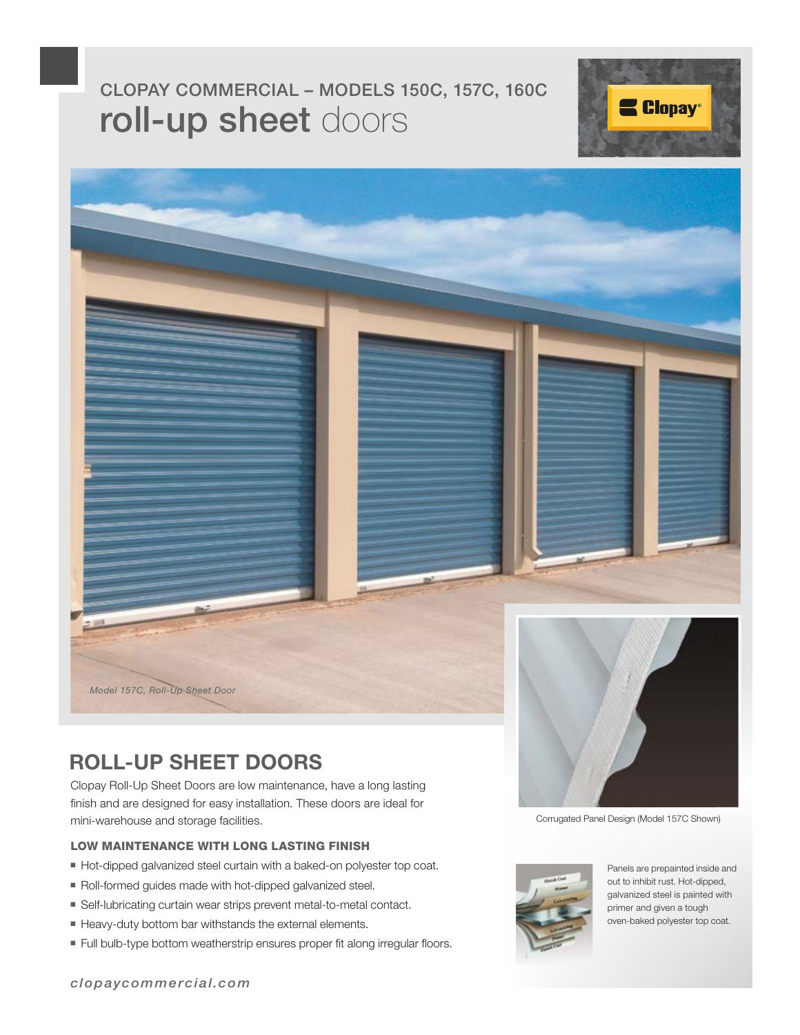# roll-up sheet doors CLOPAY COMMERCIAL – MODELS 150C, 157C, 160C





### **ROLL-UP SHEET DOORS**

Clopay Roll-Up Sheet Doors are low maintenance, have a long lasting finish and are designed for easy installation. These doors are ideal for mini-warehouse and storage facilities.

#### LOW MAINTENANCE WITH LONG LASTING FINISH

- Hot-dipped galvanized steel curtain with a baked-on polyester top coat.
- Roll-formed guides made with hot-dipped galvanized steel.
- Self-lubricating curtain wear strips prevent metal-to-metal contact.
- Heavy-duty bottom bar withstands the external elements.
- Full bulb-type bottom weatherstrip ensures proper fit along irregular floors.



Corrugated Panel Design (Model 157C Shown)



Panels are prepainted inside and out to inhibit rust. Hot-dipped, galvanized steel is painted with primer and given a tough oven-baked polyester top coat.